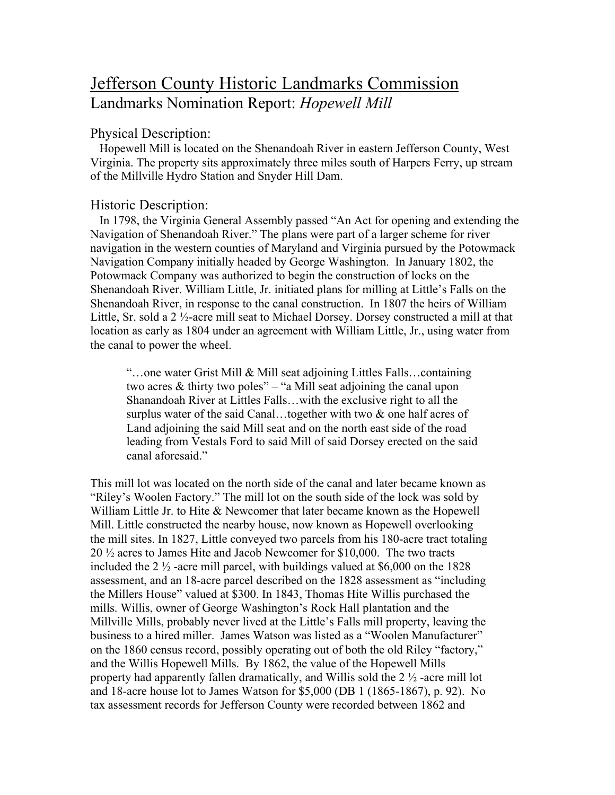# Jefferson County Historic Landmarks Commission Landmarks Nomination Report: *Hopewell Mill*

### Physical Description:

 Hopewell Mill is located on the Shenandoah River in eastern Jefferson County, West Virginia. The property sits approximately three miles south of Harpers Ferry, up stream of the Millville Hydro Station and Snyder Hill Dam.

## Historic Description:

 In 1798, the Virginia General Assembly passed "An Act for opening and extending the Navigation of Shenandoah River." The plans were part of a larger scheme for river navigation in the western counties of Maryland and Virginia pursued by the Potowmack Navigation Company initially headed by George Washington. In January 1802, the Potowmack Company was authorized to begin the construction of locks on the Shenandoah River. William Little, Jr. initiated plans for milling at Little's Falls on the Shenandoah River, in response to the canal construction. In 1807 the heirs of William Little, Sr. sold a 2 ½-acre mill seat to Michael Dorsey. Dorsey constructed a mill at that location as early as 1804 under an agreement with William Little, Jr., using water from the canal to power the wheel.

"…one water Grist Mill & Mill seat adjoining Littles Falls…containing two acres & thirty two poles" – "a Mill seat adjoining the canal upon Shanandoah River at Littles Falls…with the exclusive right to all the surplus water of the said Canal…together with two & one half acres of Land adjoining the said Mill seat and on the north east side of the road leading from Vestals Ford to said Mill of said Dorsey erected on the said canal aforesaid."

This mill lot was located on the north side of the canal and later became known as "Riley's Woolen Factory." The mill lot on the south side of the lock was sold by William Little Jr. to Hite & Newcomer that later became known as the Hopewell Mill. Little constructed the nearby house, now known as Hopewell overlooking the mill sites. In 1827, Little conveyed two parcels from his 180-acre tract totaling 20 ½ acres to James Hite and Jacob Newcomer for \$10,000. The two tracts included the 2  $\frac{1}{2}$ -acre mill parcel, with buildings valued at \$6,000 on the 1828 assessment, and an 18-acre parcel described on the 1828 assessment as "including the Millers House" valued at \$300. In 1843, Thomas Hite Willis purchased the mills. Willis, owner of George Washington's Rock Hall plantation and the Millville Mills, probably never lived at the Little's Falls mill property, leaving the business to a hired miller. James Watson was listed as a "Woolen Manufacturer" on the 1860 census record, possibly operating out of both the old Riley "factory," and the Willis Hopewell Mills. By 1862, the value of the Hopewell Mills property had apparently fallen dramatically, and Willis sold the 2 ½ -acre mill lot and 18-acre house lot to James Watson for \$5,000 (DB 1 (1865-1867), p. 92). No tax assessment records for Jefferson County were recorded between 1862 and